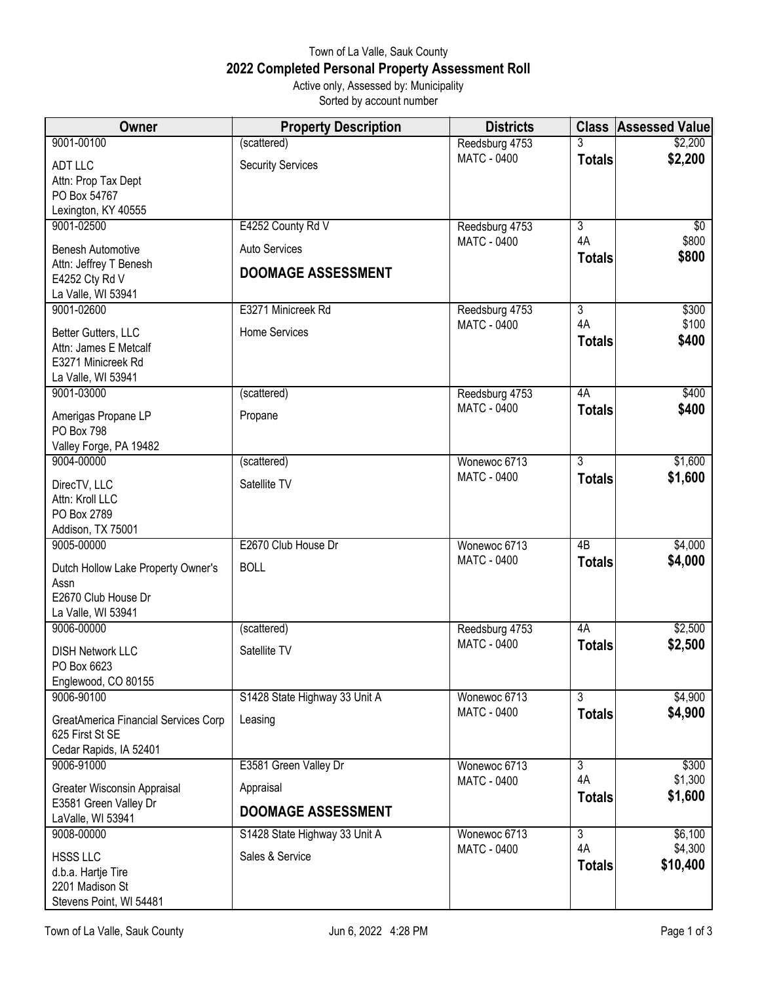## Town of La Valle, Sauk County **2022 Completed Personal Property Assessment Roll** Active only, Assessed by: Municipality

Sorted by account number

| (scattered)<br>Reedsburg 4753<br>3<br>\$2,200<br><b>MATC - 0400</b><br><b>Totals</b><br><b>ADT LLC</b><br><b>Security Services</b><br>Attn: Prop Tax Dept<br>PO Box 54767<br>Lexington, KY 40555<br>E4252 County Rd V<br>9001-02500<br>3<br>Reedsburg 4753<br>\$800<br>4A<br><b>MATC - 0400</b><br>Auto Services<br><b>Benesh Automotive</b><br>\$800<br><b>Totals</b><br>Attn: Jeffrey T Benesh<br><b>DOOMAGE ASSESSMENT</b><br>E4252 Cty Rd V<br>La Valle, WI 53941<br>$\overline{3}$<br>9001-02600<br>E3271 Minicreek Rd<br>\$300<br>Reedsburg 4753<br>\$100<br>4A<br><b>MATC - 0400</b><br>Home Services<br>Better Gutters, LLC<br>\$400<br><b>Totals</b><br>Attn: James E Metcalf<br>E3271 Minicreek Rd<br>La Valle, WI 53941<br>9001-03000<br>4A<br>(scattered)<br>Reedsburg 4753<br><b>MATC - 0400</b><br>\$400<br><b>Totals</b><br>Amerigas Propane LP<br>Propane<br><b>PO Box 798</b><br>Valley Forge, PA 19482<br>9004-00000<br>3<br>Wonewoc 6713<br>(scattered)<br><b>MATC - 0400</b><br>\$1,600<br><b>Totals</b><br>Satellite TV<br>DirecTV, LLC | Owner           | <b>Property Description</b> | <b>Districts</b> | <b>Class Assessed Value</b> |
|--------------------------------------------------------------------------------------------------------------------------------------------------------------------------------------------------------------------------------------------------------------------------------------------------------------------------------------------------------------------------------------------------------------------------------------------------------------------------------------------------------------------------------------------------------------------------------------------------------------------------------------------------------------------------------------------------------------------------------------------------------------------------------------------------------------------------------------------------------------------------------------------------------------------------------------------------------------------------------------------------------------------------------------------------------------|-----------------|-----------------------------|------------------|-----------------------------|
|                                                                                                                                                                                                                                                                                                                                                                                                                                                                                                                                                                                                                                                                                                                                                                                                                                                                                                                                                                                                                                                              | 9001-00100      |                             |                  | \$2,200                     |
|                                                                                                                                                                                                                                                                                                                                                                                                                                                                                                                                                                                                                                                                                                                                                                                                                                                                                                                                                                                                                                                              |                 |                             |                  |                             |
|                                                                                                                                                                                                                                                                                                                                                                                                                                                                                                                                                                                                                                                                                                                                                                                                                                                                                                                                                                                                                                                              |                 |                             |                  |                             |
|                                                                                                                                                                                                                                                                                                                                                                                                                                                                                                                                                                                                                                                                                                                                                                                                                                                                                                                                                                                                                                                              |                 |                             |                  |                             |
|                                                                                                                                                                                                                                                                                                                                                                                                                                                                                                                                                                                                                                                                                                                                                                                                                                                                                                                                                                                                                                                              |                 |                             |                  |                             |
|                                                                                                                                                                                                                                                                                                                                                                                                                                                                                                                                                                                                                                                                                                                                                                                                                                                                                                                                                                                                                                                              |                 |                             |                  | \$0                         |
|                                                                                                                                                                                                                                                                                                                                                                                                                                                                                                                                                                                                                                                                                                                                                                                                                                                                                                                                                                                                                                                              |                 |                             |                  |                             |
|                                                                                                                                                                                                                                                                                                                                                                                                                                                                                                                                                                                                                                                                                                                                                                                                                                                                                                                                                                                                                                                              |                 |                             |                  |                             |
|                                                                                                                                                                                                                                                                                                                                                                                                                                                                                                                                                                                                                                                                                                                                                                                                                                                                                                                                                                                                                                                              |                 |                             |                  |                             |
|                                                                                                                                                                                                                                                                                                                                                                                                                                                                                                                                                                                                                                                                                                                                                                                                                                                                                                                                                                                                                                                              |                 |                             |                  |                             |
|                                                                                                                                                                                                                                                                                                                                                                                                                                                                                                                                                                                                                                                                                                                                                                                                                                                                                                                                                                                                                                                              |                 |                             |                  |                             |
|                                                                                                                                                                                                                                                                                                                                                                                                                                                                                                                                                                                                                                                                                                                                                                                                                                                                                                                                                                                                                                                              |                 |                             |                  |                             |
|                                                                                                                                                                                                                                                                                                                                                                                                                                                                                                                                                                                                                                                                                                                                                                                                                                                                                                                                                                                                                                                              |                 |                             |                  |                             |
|                                                                                                                                                                                                                                                                                                                                                                                                                                                                                                                                                                                                                                                                                                                                                                                                                                                                                                                                                                                                                                                              |                 |                             |                  |                             |
|                                                                                                                                                                                                                                                                                                                                                                                                                                                                                                                                                                                                                                                                                                                                                                                                                                                                                                                                                                                                                                                              |                 |                             |                  |                             |
|                                                                                                                                                                                                                                                                                                                                                                                                                                                                                                                                                                                                                                                                                                                                                                                                                                                                                                                                                                                                                                                              |                 |                             |                  | \$400                       |
|                                                                                                                                                                                                                                                                                                                                                                                                                                                                                                                                                                                                                                                                                                                                                                                                                                                                                                                                                                                                                                                              |                 |                             |                  |                             |
|                                                                                                                                                                                                                                                                                                                                                                                                                                                                                                                                                                                                                                                                                                                                                                                                                                                                                                                                                                                                                                                              |                 |                             |                  |                             |
|                                                                                                                                                                                                                                                                                                                                                                                                                                                                                                                                                                                                                                                                                                                                                                                                                                                                                                                                                                                                                                                              |                 |                             |                  |                             |
|                                                                                                                                                                                                                                                                                                                                                                                                                                                                                                                                                                                                                                                                                                                                                                                                                                                                                                                                                                                                                                                              |                 |                             |                  | \$1,600                     |
|                                                                                                                                                                                                                                                                                                                                                                                                                                                                                                                                                                                                                                                                                                                                                                                                                                                                                                                                                                                                                                                              |                 |                             |                  |                             |
|                                                                                                                                                                                                                                                                                                                                                                                                                                                                                                                                                                                                                                                                                                                                                                                                                                                                                                                                                                                                                                                              | Attn: Kroll LLC |                             |                  |                             |
| PO Box 2789                                                                                                                                                                                                                                                                                                                                                                                                                                                                                                                                                                                                                                                                                                                                                                                                                                                                                                                                                                                                                                                  |                 |                             |                  |                             |
| Addison, TX 75001                                                                                                                                                                                                                                                                                                                                                                                                                                                                                                                                                                                                                                                                                                                                                                                                                                                                                                                                                                                                                                            |                 |                             |                  |                             |
| 9005-00000<br>E2670 Club House Dr<br>4 <sub>B</sub><br>Wonewoc 6713                                                                                                                                                                                                                                                                                                                                                                                                                                                                                                                                                                                                                                                                                                                                                                                                                                                                                                                                                                                          |                 |                             |                  | \$4,000                     |
| <b>MATC - 0400</b><br>\$4,000<br><b>Totals</b><br><b>BOLL</b><br>Dutch Hollow Lake Property Owner's                                                                                                                                                                                                                                                                                                                                                                                                                                                                                                                                                                                                                                                                                                                                                                                                                                                                                                                                                          |                 |                             |                  |                             |
| Assn                                                                                                                                                                                                                                                                                                                                                                                                                                                                                                                                                                                                                                                                                                                                                                                                                                                                                                                                                                                                                                                         |                 |                             |                  |                             |
| E2670 Club House Dr                                                                                                                                                                                                                                                                                                                                                                                                                                                                                                                                                                                                                                                                                                                                                                                                                                                                                                                                                                                                                                          |                 |                             |                  |                             |
| La Valle, WI 53941                                                                                                                                                                                                                                                                                                                                                                                                                                                                                                                                                                                                                                                                                                                                                                                                                                                                                                                                                                                                                                           |                 |                             |                  |                             |
| 9006-00000<br>4A<br>(scattered)<br>Reedsburg 4753                                                                                                                                                                                                                                                                                                                                                                                                                                                                                                                                                                                                                                                                                                                                                                                                                                                                                                                                                                                                            |                 |                             |                  | \$2,500                     |
| <b>MATC - 0400</b><br>\$2,500<br><b>Totals</b><br>Satellite TV<br><b>DISH Network LLC</b>                                                                                                                                                                                                                                                                                                                                                                                                                                                                                                                                                                                                                                                                                                                                                                                                                                                                                                                                                                    |                 |                             |                  |                             |
| PO Box 6623                                                                                                                                                                                                                                                                                                                                                                                                                                                                                                                                                                                                                                                                                                                                                                                                                                                                                                                                                                                                                                                  |                 |                             |                  |                             |
| Englewood, CO 80155                                                                                                                                                                                                                                                                                                                                                                                                                                                                                                                                                                                                                                                                                                                                                                                                                                                                                                                                                                                                                                          |                 |                             |                  |                             |
| 9006-90100<br>$\overline{3}$<br>S1428 State Highway 33 Unit A<br>Wonewoc 6713                                                                                                                                                                                                                                                                                                                                                                                                                                                                                                                                                                                                                                                                                                                                                                                                                                                                                                                                                                                |                 |                             |                  | \$4,900                     |
| <b>MATC - 0400</b><br><b>Totals</b><br>Leasing<br>GreatAmerica Financial Services Corp                                                                                                                                                                                                                                                                                                                                                                                                                                                                                                                                                                                                                                                                                                                                                                                                                                                                                                                                                                       |                 |                             |                  | \$4,900                     |
| 625 First St SE                                                                                                                                                                                                                                                                                                                                                                                                                                                                                                                                                                                                                                                                                                                                                                                                                                                                                                                                                                                                                                              |                 |                             |                  |                             |
| Cedar Rapids, IA 52401                                                                                                                                                                                                                                                                                                                                                                                                                                                                                                                                                                                                                                                                                                                                                                                                                                                                                                                                                                                                                                       |                 |                             |                  |                             |
| E3581 Green Valley Dr<br>9006-91000<br>Wonewoc 6713<br>$\overline{3}$                                                                                                                                                                                                                                                                                                                                                                                                                                                                                                                                                                                                                                                                                                                                                                                                                                                                                                                                                                                        |                 |                             |                  | \$300                       |
| 4A<br>MATC - 0400<br>Appraisal<br>Greater Wisconsin Appraisal                                                                                                                                                                                                                                                                                                                                                                                                                                                                                                                                                                                                                                                                                                                                                                                                                                                                                                                                                                                                |                 |                             |                  | \$1,300                     |
| \$1,600<br><b>Totals</b><br>E3581 Green Valley Dr                                                                                                                                                                                                                                                                                                                                                                                                                                                                                                                                                                                                                                                                                                                                                                                                                                                                                                                                                                                                            |                 |                             |                  |                             |
| <b>DOOMAGE ASSESSMENT</b><br>LaValle, WI 53941                                                                                                                                                                                                                                                                                                                                                                                                                                                                                                                                                                                                                                                                                                                                                                                                                                                                                                                                                                                                               |                 |                             |                  |                             |
| 9008-00000<br>$\overline{3}$<br>S1428 State Highway 33 Unit A<br>Wonewoc 6713                                                                                                                                                                                                                                                                                                                                                                                                                                                                                                                                                                                                                                                                                                                                                                                                                                                                                                                                                                                |                 |                             |                  | \$6,100                     |
| 4A<br><b>MATC - 0400</b><br>Sales & Service<br><b>HSSS LLC</b>                                                                                                                                                                                                                                                                                                                                                                                                                                                                                                                                                                                                                                                                                                                                                                                                                                                                                                                                                                                               |                 |                             |                  | \$4,300                     |
| \$10,400<br><b>Totals</b><br>d.b.a. Hartje Tire                                                                                                                                                                                                                                                                                                                                                                                                                                                                                                                                                                                                                                                                                                                                                                                                                                                                                                                                                                                                              |                 |                             |                  |                             |
| 2201 Madison St                                                                                                                                                                                                                                                                                                                                                                                                                                                                                                                                                                                                                                                                                                                                                                                                                                                                                                                                                                                                                                              |                 |                             |                  |                             |
| Stevens Point, WI 54481                                                                                                                                                                                                                                                                                                                                                                                                                                                                                                                                                                                                                                                                                                                                                                                                                                                                                                                                                                                                                                      |                 |                             |                  |                             |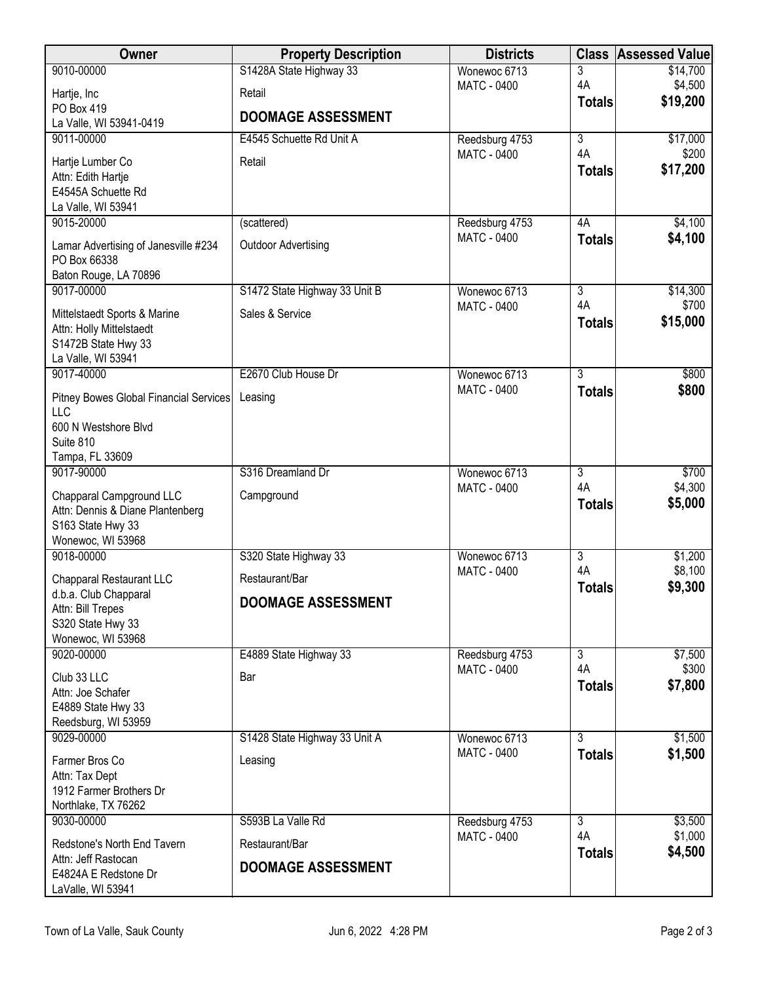| <b>Owner</b>                                          | <b>Property Description</b>   | <b>Districts</b>                     | <b>Class</b>        | <b>Assessed Value</b> |
|-------------------------------------------------------|-------------------------------|--------------------------------------|---------------------|-----------------------|
| 9010-00000                                            | S1428A State Highway 33       | Wonewoc 6713                         | 3                   | \$14,700              |
| Hartje, Inc                                           | Retail                        | <b>MATC - 0400</b>                   | 4A                  | \$4,500<br>\$19,200   |
| PO Box 419                                            | <b>DOOMAGE ASSESSMENT</b>     |                                      | <b>Totals</b>       |                       |
| La Valle, WI 53941-0419<br>9011-00000                 | E4545 Schuette Rd Unit A      |                                      | $\overline{3}$      |                       |
|                                                       |                               | Reedsburg 4753<br><b>MATC - 0400</b> | 4A                  | \$17,000<br>\$200     |
| Hartje Lumber Co                                      | Retail                        |                                      | <b>Totals</b>       | \$17,200              |
| Attn: Edith Hartje<br>E4545A Schuette Rd              |                               |                                      |                     |                       |
| La Valle, WI 53941                                    |                               |                                      |                     |                       |
| 9015-20000                                            | (scattered)                   | Reedsburg 4753                       | 4A                  | \$4,100               |
| Lamar Advertising of Janesville #234                  | <b>Outdoor Advertising</b>    | <b>MATC - 0400</b>                   | <b>Totals</b>       | \$4,100               |
| PO Box 66338                                          |                               |                                      |                     |                       |
| Baton Rouge, LA 70896                                 |                               |                                      |                     |                       |
| 9017-00000                                            | S1472 State Highway 33 Unit B | Wonewoc 6713                         | $\overline{3}$      | \$14,300              |
| Mittelstaedt Sports & Marine                          | Sales & Service               | <b>MATC - 0400</b>                   | 4A<br><b>Totals</b> | \$700<br>\$15,000     |
| Attn: Holly Mittelstaedt                              |                               |                                      |                     |                       |
| S1472B State Hwy 33<br>La Valle, WI 53941             |                               |                                      |                     |                       |
| 9017-40000                                            | E2670 Club House Dr           | Wonewoc 6713                         | $\overline{3}$      | \$800                 |
| Pitney Bowes Global Financial Services                | Leasing                       | <b>MATC - 0400</b>                   | <b>Totals</b>       | \$800                 |
| <b>LLC</b>                                            |                               |                                      |                     |                       |
| 600 N Westshore Blvd                                  |                               |                                      |                     |                       |
| Suite 810                                             |                               |                                      |                     |                       |
| Tampa, FL 33609<br>9017-90000                         | S316 Dreamland Dr             | Wonewoc 6713                         | $\overline{3}$      | \$700                 |
|                                                       |                               | <b>MATC - 0400</b>                   | 4A                  | \$4,300               |
| Chapparal Campground LLC                              | Campground                    |                                      | <b>Totals</b>       | \$5,000               |
| Attn: Dennis & Diane Plantenberg<br>S163 State Hwy 33 |                               |                                      |                     |                       |
| Wonewoc, WI 53968                                     |                               |                                      |                     |                       |
| 9018-00000                                            | S320 State Highway 33         | Wonewoc 6713                         | $\overline{3}$      | \$1,200               |
| Chapparal Restaurant LLC                              | Restaurant/Bar                | <b>MATC - 0400</b>                   | 4A                  | \$8,100               |
| d.b.a. Club Chapparal                                 | <b>DOOMAGE ASSESSMENT</b>     |                                      | <b>Totals</b>       | \$9,300               |
| Attn: Bill Trepes                                     |                               |                                      |                     |                       |
| S320 State Hwy 33<br>Wonewoc, WI 53968                |                               |                                      |                     |                       |
| 9020-00000                                            | E4889 State Highway 33        | Reedsburg 4753                       | $\overline{3}$      | \$7,500               |
| Club 33 LLC                                           | Bar                           | <b>MATC - 0400</b>                   | 4A                  | \$300                 |
| Attn: Joe Schafer                                     |                               |                                      | <b>Totals</b>       | \$7,800               |
| E4889 State Hwy 33                                    |                               |                                      |                     |                       |
| Reedsburg, WI 53959                                   |                               |                                      |                     |                       |
| 9029-00000                                            | S1428 State Highway 33 Unit A | Wonewoc 6713<br><b>MATC - 0400</b>   | $\overline{3}$      | \$1,500               |
| Farmer Bros Co                                        | Leasing                       |                                      | <b>Totals</b>       | \$1,500               |
| Attn: Tax Dept<br>1912 Farmer Brothers Dr             |                               |                                      |                     |                       |
| Northlake, TX 76262                                   |                               |                                      |                     |                       |
| 9030-00000                                            | S593B La Valle Rd             | Reedsburg 4753                       | $\overline{3}$      | \$3,500               |
| Redstone's North End Tavern                           | Restaurant/Bar                | <b>MATC - 0400</b>                   | 4A                  | \$1,000               |
| Attn: Jeff Rastocan                                   |                               |                                      | <b>Totals</b>       | \$4,500               |
| E4824A E Redstone Dr                                  | <b>DOOMAGE ASSESSMENT</b>     |                                      |                     |                       |
| LaValle, WI 53941                                     |                               |                                      |                     |                       |